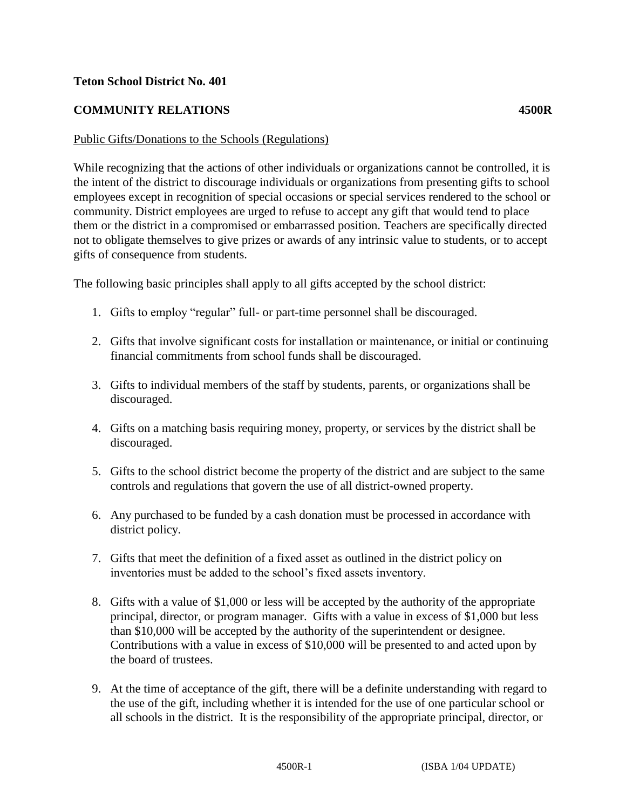## **Teton School District No. 401**

## **COMMUNITY RELATIONS 4500R**

## Public Gifts/Donations to the Schools (Regulations)

While recognizing that the actions of other individuals or organizations cannot be controlled, it is the intent of the district to discourage individuals or organizations from presenting gifts to school employees except in recognition of special occasions or special services rendered to the school or community. District employees are urged to refuse to accept any gift that would tend to place them or the district in a compromised or embarrassed position. Teachers are specifically directed not to obligate themselves to give prizes or awards of any intrinsic value to students, or to accept gifts of consequence from students.

The following basic principles shall apply to all gifts accepted by the school district:

- 1. Gifts to employ "regular" full- or part-time personnel shall be discouraged.
- 2. Gifts that involve significant costs for installation or maintenance, or initial or continuing financial commitments from school funds shall be discouraged.
- 3. Gifts to individual members of the staff by students, parents, or organizations shall be discouraged.
- 4. Gifts on a matching basis requiring money, property, or services by the district shall be discouraged.
- 5. Gifts to the school district become the property of the district and are subject to the same controls and regulations that govern the use of all district-owned property.
- 6. Any purchased to be funded by a cash donation must be processed in accordance with district policy.
- 7. Gifts that meet the definition of a fixed asset as outlined in the district policy on inventories must be added to the school's fixed assets inventory.
- 8. Gifts with a value of \$1,000 or less will be accepted by the authority of the appropriate principal, director, or program manager. Gifts with a value in excess of \$1,000 but less than \$10,000 will be accepted by the authority of the superintendent or designee. Contributions with a value in excess of \$10,000 will be presented to and acted upon by the board of trustees.
- 9. At the time of acceptance of the gift, there will be a definite understanding with regard to the use of the gift, including whether it is intended for the use of one particular school or all schools in the district. It is the responsibility of the appropriate principal, director, or